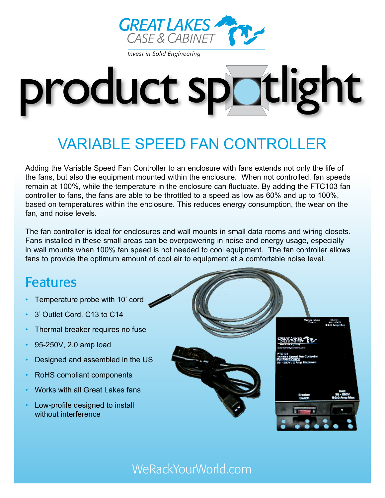

# product spotlight

## Variable SpeeD Fan Controller

Adding the Variable Speed Fan Controller to an enclosure with fans extends not only the life of the fans, but also the equipment mounted within the enclosure. When not controlled, fan speeds remain at 100%, while the temperature in the enclosure can fluctuate. By adding the FTC103 fan controller to fans, the fans are able to be throttled to a speed as low as 60% and up to 100%, based on temperatures within the enclosure. This reduces energy consumption, the wear on the fan, and noise levels.

The fan controller is ideal for enclosures and wall mounts in small data rooms and wiring closets. Fans installed in these small areas can be overpowering in noise and energy usage, especially in wall mounts when 100% fan speed is not needed to cool equipment. The fan controller allows fans to provide the optimum amount of cool air to equipment at a comfortable noise level.

## **Features**

- Temperature probe with 10' cord
- 3' Outlet Cord, C13 to C14
- Thermal breaker requires no fuse
- 95-250V, 2.0 amp load
- Designed and assembled in the US
- RoHS compliant components
- Works with all Great Lakes fans
- Low-profile designed to install without interference



## WeRackYourWorld.com